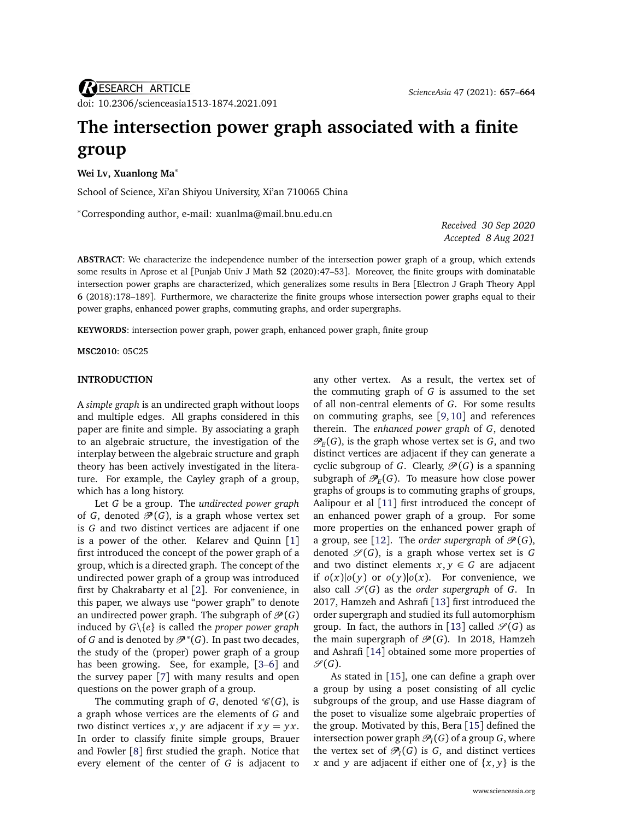# **The intersection power graph associated with a finite group**

## **Wei Lv, Xuanlong Ma**<sup>∗</sup>

School of Science, Xi'an Shiyou University, Xi'an 710065 China

<sup>∗</sup>Corresponding author, e-mail: [xuanlma@mail.bnu.edu.cn](mailto:xuanlma@mail.bnu.edu.cn)

*Received 30 Sep 2020 Accepted 8 Aug 2021*

**ABSTRACT**: We characterize the independence number of the intersection power graph of a group, which extends some results in Aprose et al [Punjab Univ J Math **52** (2020):47–53]. Moreover, the finite groups with dominatable intersection power graphs are characterized, which generalizes some results in Bera [Electron J Graph Theory Appl **6** (2018):178–189]. Furthermore, we characterize the finite groups whose intersection power graphs equal to their power graphs, enhanced power graphs, commuting graphs, and order supergraphs.

**KEYWORDS**: intersection power graph, power graph, enhanced power graph, finite group

**MSC2010**: 05C25

## **INTRODUCTION**

A *simple graph* is an undirected graph without loops and multiple edges. All graphs considered in this paper are finite and simple. By associating a graph to an algebraic structure, the investigation of the interplay between the algebraic structure and graph theory has been actively investigated in the literature. For example, the Cayley graph of a group, which has a long history.

Let *G* be a group. The *undirected power graph* of *G*, denoted  $\mathcal{P}(G)$ , is a graph whose vertex set is *G* and two distinct vertices are adjacent if one is a power of the other. Kelarev and Quinn [[1](#page-7-0)] first introduced the concept of the power graph of a group, which is a directed graph. The concept of the undirected power graph of a group was introduced first by Chakrabarty et al [[2](#page-7-1)]. For convenience, in this paper, we always use "power graph" to denote an undirected power graph. The subgraph of  $\mathcal{P}(G)$ induced by *G*\{*e*} is called the *proper power graph* of *G* and is denoted by  $\mathcal{P}^*(G)$ . In past two decades, the study of the (proper) power graph of a group has been growing. See, for example, [[3–](#page-7-2)[6](#page-7-3)] and the survey paper [[7](#page-7-4)] with many results and open questions on the power graph of a group.

The commuting graph of *G*, denoted  $\mathcal{C}(G)$ , is a graph whose vertices are the elements of *G* and two distinct vertices  $x, y$  are adjacent if  $xy = yx$ . In order to classify finite simple groups, Brauer and Fowler [[8](#page-7-5)] first studied the graph. Notice that every element of the center of *G* is adjacent to

any other vertex. As a result, the vertex set of the commuting graph of *G* is assumed to the set of all non-central elements of *G*. For some results on commuting graphs, see [[9,](#page-7-6) [10](#page-7-7)] and references therein. The *enhanced power graph* of *G*, denoted  $\mathcal{P}_E(G)$ , is the graph whose vertex set is  $G$ , and two distinct vertices are adjacent if they can generate a cyclic subgroup of *G*. Clearly,  $\mathcal{P}(G)$  is a spanning subgraph of  $\mathcal{P}_E(G)$ . To measure how close power graphs of groups is to commuting graphs of groups, Aalipour et al [[11](#page-7-8)] first introduced the concept of an enhanced power graph of a group. For some more properties on the enhanced power graph of a group, see [[12](#page-7-9)]. The *order supergraph* of  $\mathcal{P}(G)$ , denoted  $\mathcal{S}(G)$ , is a graph whose vertex set is G and two distinct elements  $x, y \in G$  are adjacent if  $o(x)|o(y)$  or  $o(y)|o(x)$ . For convenience, we also call  $\mathcal{S}(G)$  as the *order supergraph* of G. In 2017, Hamzeh and Ashrafi [[13](#page-7-10)] first introduced the order supergraph and studied its full automorphism group. In fact, the authors in [[13](#page-7-10)] called  $\mathcal{S}(G)$  as the main supergraph of  $\mathcal{P}(G)$ . In 2018, Hamzeh and Ashrafi [[14](#page-7-11)] obtained some more properties of  $\mathscr{S}(G)$ .

As stated in [[15](#page-7-12)], one can define a graph over a group by using a poset consisting of all cyclic subgroups of the group, and use Hasse diagram of the poset to visualize some algebraic properties of the group. Motivated by this, Bera [[15](#page-7-12)] defined the intersection power graph  $\mathscr{P}_I(G)$  of a group  $G$ , where the vertex set of  $\mathcal{P}_I(G)$  is *G*, and distinct vertices *x* and *y* are adjacent if either one of {*x*, *y*} is the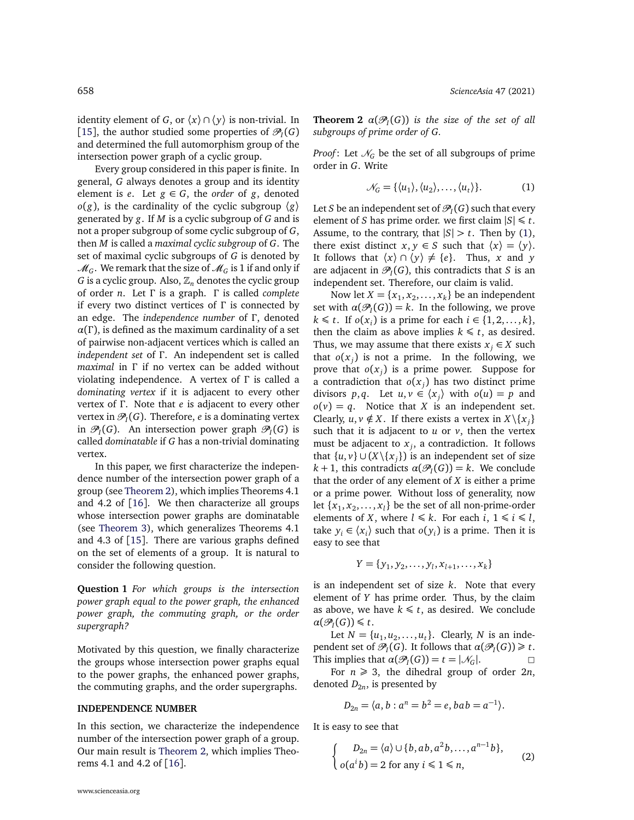identity element of *G*, or  $\langle x \rangle \cap \langle y \rangle$  is non-trivial. In [[15](#page-7-12)], the author studied some properties of  $\mathcal{P}_I(G)$ and determined the full automorphism group of the intersection power graph of a cyclic group.

Every group considered in this paper is finite. In general, *G* always denotes a group and its identity element is *e*. Let  $g \in G$ , the *order* of *g*, denoted  $o(g)$ , is the cardinality of the cyclic subgroup  $\langle g \rangle$ generated by *g*. If *M* is a cyclic subgroup of *G* and is not a proper subgroup of some cyclic subgroup of *G*, then *M* is called a *maximal cyclic subgroup* of *G*. The set of maximal cyclic subgroups of *G* is denoted by  $\mathcal{M}_G$ . We remark that the size of  $\mathcal{M}_G$  is 1 if and only if *G* is a cyclic group. Also,  $\mathbb{Z}_n$  denotes the cyclic group of order *n*. Let *Γ* is a graph. *Γ* is called *complete* if every two distinct vertices of *Γ* is connected by an edge. The *independence number* of *Γ* , denoted  $\alpha(\Gamma)$ , is defined as the maximum cardinality of a set of pairwise non-adjacent vertices which is called an *independent set* of *Γ* . An independent set is called *maximal* in *Γ* if no vertex can be added without violating independence. A vertex of *Γ* is called a *dominating vertex* if it is adjacent to every other vertex of *Γ* . Note that *e* is adjacent to every other vertex in  $\mathcal{P}_I(G)$ . Therefore, *e* is a dominating vertex in  $\mathcal{P}_I(G)$ . An intersection power graph  $\mathcal{P}_I(G)$  is called *dominatable* if *G* has a non-trivial dominating vertex.

In this paper, we first characterize the independence number of the intersection power graph of a group (see [Theorem 2\)](#page-1-0), which implies Theorems 4.1 and 4.2 of [[16](#page-7-13)]. We then characterize all groups whose intersection power graphs are dominatable (see [Theorem 3\)](#page-2-0), which generalizes Theorems 4.1 and 4.3 of [[15](#page-7-12)]. There are various graphs defined on the set of elements of a group. It is natural to consider the following question.

<span id="page-1-3"></span>**Question 1** *For which groups is the intersection power graph equal to the power graph, the enhanced power graph, the commuting graph, or the order supergraph?*

Motivated by this question, we finally characterize the groups whose intersection power graphs equal to the power graphs, the enhanced power graphs, the commuting graphs, and the order supergraphs.

## **INDEPENDENCE NUMBER**

<span id="page-1-0"></span>In this section, we characterize the independence number of the intersection power graph of a group. Our main result is [Theorem 2,](#page-1-0) which implies Theorems 4.1 and 4.2 of [[16](#page-7-13)].

**Theorem 2**  $\alpha(\mathcal{P}_I(G))$  *is the size of the set of all subgroups of prime order of G.*

*Proof*: Let  $\mathcal{N}_G$  be the set of all subgroups of prime order in *G*. Write

<span id="page-1-1"></span>
$$
\mathcal{N}_G = \{ \langle u_1 \rangle, \langle u_2 \rangle, \dots, \langle u_t \rangle \}. \tag{1}
$$

Let  $S$  be an independent set of  $\mathscr{P}_I(G)$  such that every element of *S* has prime order. we first claim  $|S| \le t$ . Assume, to the contrary, that  $|S| > t$ . Then by [\(1\)](#page-1-1), there exist distinct  $x, y \in S$  such that  $\langle x \rangle = \langle y \rangle$ . It follows that  $\langle x \rangle \cap \langle y \rangle \neq \{e\}$ . Thus, *x* and *y* are adjacent in  $\mathcal{P}_I(G)$ , this contradicts that *S* is an independent set. Therefore, our claim is valid.

Now let  $X = \{x_1, x_2, \ldots, x_k\}$  be an independent set with  $\alpha(\mathcal{P}_I(G)) = k$ . In the following, we prove *k* ≤ *t*. If *o*(*x*<sub>*i*</sub>) is a prime for each *i* ∈ {1, 2, . . . , *k*}, then the claim as above implies  $k \leq t$ , as desired. Thus, we may assume that there exists  $x_i \in X$  such that  $o(x_j)$  is not a prime. In the following, we prove that  $o(x_j)$  is a prime power. Suppose for a contradiction that  $o(x_j)$  has two distinct prime divisors  $p, q$ . Let  $u, v \in \langle x_j \rangle$  with  $o(u) = p$  and  $o(v) = q$ . Notice that *X* is an independent set. Clearly,  $u, v \notin X$ . If there exists a vertex in  $X \setminus \{x_j\}$ such that it is adjacent to  $u$  or  $v$ , then the vertex must be adjacent to *x <sup>j</sup>* , a contradiction. It follows that  $\{u, v\} \cup (X \setminus \{x_j\})$  is an independent set of size  $k + 1$ , this contradicts  $\alpha(\mathcal{P}_I(G)) = k$ . We conclude that the order of any element of *X* is either a prime or a prime power. Without loss of generality, now let  $\{x_1, x_2, \ldots, x_l\}$  be the set of all non-prime-order elements of *X*, where  $l \le k$ . For each  $i, 1 \le i \le l$ , take  $y_i \in \langle x_i \rangle$  such that  $o(y_i)$  is a prime. Then it is easy to see that

$$
Y = \{y_1, y_2, \dots, y_l, x_{l+1}, \dots, x_k\}
$$

is an independent set of size *k*. Note that every element of *Y* has prime order. Thus, by the claim as above, we have  $k \leq t$ , as desired. We conclude  $\alpha(\mathcal{P}_I(G)) \leq t$ .

Let  $N = \{u_1, u_2, \dots, u_t\}$ . Clearly, *N* is an independent set of  $\mathcal{P}_I(G)$ . It follows that  $\alpha(\mathcal{P}_I(G)) \geq t$ . This implies that  $\alpha(\mathcal{P}_I(G)) = t = |\mathcal{N}_G|$ .

For  $n \geq 3$ , the dihedral group of order 2*n*, denoted  $D_{2n}^{\phantom{\dag}}$ , is presented by

$$
D_{2n} = \langle a, b : a^n = b^2 = e, bab = a^{-1} \rangle.
$$

It is easy to see that

<span id="page-1-2"></span>
$$
\begin{cases}\nD_{2n} = \langle a \rangle \cup \{b, ab, a^2b, \dots, a^{n-1}b\}, \\
o(a^ib) = 2 \text{ for any } i \leq 1 \leq n,\n\end{cases}
$$
\n(2)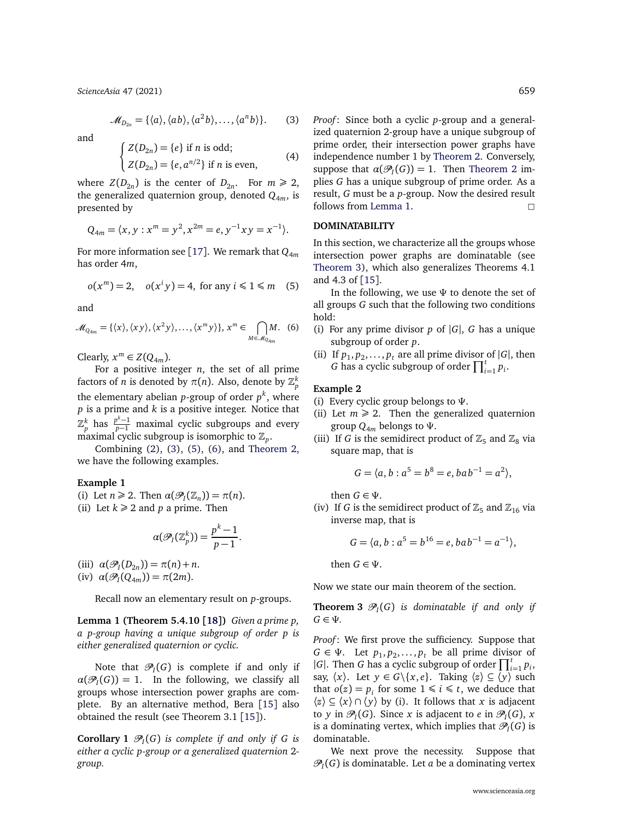*[ScienceAsia](http://www.scienceasia.org/)* 47 (2021) 659

<span id="page-2-1"></span>
$$
\mathcal{M}_{D_{2n}} = \{ \langle a \rangle, \langle ab \rangle, \langle a^2b \rangle, \dots, \langle a^nb \rangle \}. \tag{3}
$$

and

<span id="page-2-6"></span>
$$
\begin{cases}\nZ(D_{2n}) = \{e\} \text{ if } n \text{ is odd;} \\
Z(D_{2n}) = \{e, a^{n/2}\} \text{ if } n \text{ is even,}\n\end{cases} \tag{4}
$$

where  $Z(D_{2n})$  is the center of  $D_{2n}$ . For  $m \ge 2$ , the generalized quaternion group, denoted  $Q_{4m}$ , is presented by

$$
Q_{4m} = \langle x, y : x^m = y^2, x^{2m} = e, y^{-1}xy = x^{-1} \rangle.
$$

For more information see [[17](#page-7-14)]. We remark that *Q*<sup>4</sup>*<sup>m</sup>* has order 4*m*,

<span id="page-2-2"></span>
$$
o(x^m) = 2, \quad o(x^iy) = 4, \text{ for any } i \leq 1 \leq m \quad (5)
$$

and

<span id="page-2-3"></span>
$$
\mathcal{M}_{Q_{4m}} = \{ \langle x \rangle, \langle xy \rangle, \langle x^2 y \rangle, \dots, \langle x^m y \rangle \}, \ x^m \in \bigcap_{M \in \mathcal{M}_{Q_{4m}}} M. \tag{6}
$$

Clearly,  $x^m \in Z(Q_{4m})$ .

For a positive integer *n*, the set of all prime factors of *n* is denoted by  $\pi(n)$ . Also, denote by  $\mathbb{Z}_p^k$ the elementary abelian *p*-group of order *p k* , where *p* is a prime and *k* is a positive integer. Notice that  $\mathbb{Z}_p^k$  has  $\frac{p^k-1}{p-1}$  maximal cyclic subgroups and every maximal cyclic subgroup is isomorphic to  $\mathbb{Z}_p$ .

Combining [\(2\)](#page-1-2), [\(3\)](#page-2-1), [\(5\)](#page-2-2), [\(6\)](#page-2-3), and [Theorem 2,](#page-1-0) we have the following examples.

## **Example 1**

(i) Let  $n \ge 2$ . Then  $\alpha(\mathcal{P}_I(\mathbb{Z}_n)) = \pi(n)$ .

(ii) Let  $k \geq 2$  and *p* a prime. Then

$$
\alpha(\mathcal{P}_I(\mathbb{Z}_p^k))=\frac{p^k-1}{p-1}.
$$

(iii)  $\alpha(\mathcal{P}_I(D_{2n})) = \pi(n) + n$ . (iv)  $\alpha(\mathcal{P}_I(Q_{4m})) = \pi(2m)$ .

Recall now an elementary result on *p*-groups.

<span id="page-2-4"></span>**Lemma 1 (Theorem 5.4.10 [[18](#page-7-15)])** *Given a prime p, a p-group having a unique subgroup of order p is either generalized quaternion or cyclic.*

Note that  $\mathcal{P}_I(G)$  is complete if and only if  $\alpha(\mathcal{P}_I(G)) = 1$ . In the following, we classify all groups whose intersection power graphs are complete. By an alternative method, Bera [[15](#page-7-12)] also obtained the result (see Theorem 3.1 [[15](#page-7-12)]).

<span id="page-2-5"></span>**Corollary 1**  $\mathcal{P}_I(G)$  is complete if and only if G is *either a cyclic p-group or a generalized quaternion* 2 *group.*

*Proof*: Since both a cyclic *p*-group and a generalized quaternion 2-group have a unique subgroup of prime order, their intersection power graphs have independence number 1 by [Theorem 2.](#page-1-0) Conversely, suppose that  $\alpha(\mathcal{P}_I(G)) = 1$ . Then [Theorem 2](#page-1-0) implies *G* has a unique subgroup of prime order. As a result, *G* must be a *p*-group. Now the desired result follows from [Lemma 1.](#page-2-4)  $\Box$ 

## **DOMINATABILITY**

In this section, we characterize all the groups whose intersection power graphs are dominatable (see [Theorem 3\)](#page-2-0), which also generalizes Theorems 4.1 and 4.3 of [[15](#page-7-12)].

In the following, we use *Ψ* to denote the set of all groups *G* such that the following two conditions hold:

- (i) For any prime divisor  $p$  of  $|G|$ ,  $G$  has a unique subgroup of order *p*.
- (ii) If  $p_1, p_2, \ldots, p_t$  are all prime divisor of  $|G|$ , then *G* has a cyclic subgroup of order  $\prod_{i=1}^{t} p_i$ .

#### **Example 2**

- (i) Every cyclic group belongs to *Ψ*.
- (ii) Let  $m \ge 2$ . Then the generalized quaternion group  $Q_{4m}$  belongs to  $\Psi$ .
- (iii) If *G* is the semidirect product of  $\mathbb{Z}_5$  and  $\mathbb{Z}_8$  via square map, that is

$$
G = \langle a, b : a^5 = b^8 = e, bab^{-1} = a^2 \rangle,
$$

then  $G \in \Psi$ .

(iv) If *G* is the semidirect product of  $\mathbb{Z}_5$  and  $\mathbb{Z}_{16}$  via inverse map, that is

<span id="page-2-0"></span>
$$
G = \langle a, b : a^5 = b^{16} = e, bab^{-1} = a^{-1} \rangle,
$$

then  $G \in \Psi$ .

Now we state our main theorem of the section.

**Theorem 3**  $\mathcal{P}_I(G)$  is dominatable if and only if *G* ∈ *Ψ.*

*Proof*: We first prove the sufficiency. Suppose that  $G \in \Psi$ . Let  $p_1, p_2, \ldots, p_t$  be all prime divisor of  $|G|$ . Then *G* has a cyclic subgroup of order  $\prod_{i=1}^{t} p_i$ , say,  $\langle x \rangle$ . Let  $y \in G \setminus \{x, e\}$ . Taking  $\langle z \rangle \subseteq \langle y \rangle$  such that  $o(z) = p_i$  for some  $1 \le i \le t$ , we deduce that  $\langle z \rangle \subseteq \langle x \rangle \cap \langle y \rangle$  by (i). It follows that *x* is adjacent to *y* in  $\mathcal{P}_I(G)$ . Since *x* is adjacent to *e* in  $\mathcal{P}_I(G)$ , *x* is a dominating vertex, which implies that  $\mathscr{P}_I(G)$  is dominatable.

We next prove the necessity. Suppose that  $\mathscr{P}_I(G)$  is dominatable. Let *a* be a dominating vertex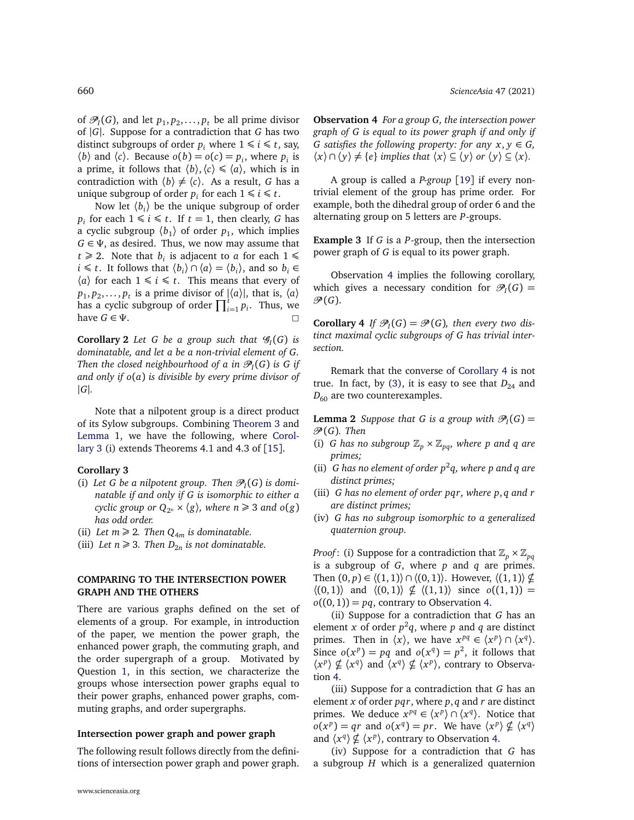of  $\mathcal{P}_I(G)$ , and let  $p_1, p_2, \ldots, p_t$  be all prime divisor of |*G*|. Suppose for a contradiction that *G* has two distinct subgroups of order  $p_i$  where  $1 \le i \le t$ , say,  $\langle b \rangle$  and  $\langle c \rangle$ . Because  $o(b) = o(c) = p_i$ , where  $p_i$  is a prime, it follows that  $\langle b \rangle$ ,  $\langle c \rangle \le \langle a \rangle$ , which is in contradiction with  $\langle b \rangle \neq \langle c \rangle$ . As a result, *G* has a unique subgroup of order  $p_i$  for each  $1 \leq i \leq t$ .

Now let  $\langle b_i \rangle$  be the unique subgroup of order  $p_i$  for each  $1 \le i \le t$ . If  $t = 1$ , then clearly, *G* has a cyclic subgroup  $\langle b_1 \rangle$  of order  $p_1$ , which implies *G* ∈ *Ψ*, as desired. Thus, we now may assume that  $t \ge 2$ . Note that  $b_i$  is adjacent to *a* for each  $1 \le$ *i* ≤ *t*. It follows that  $\langle b_i \rangle \cap \langle a \rangle = \langle b_i \rangle$ , and so  $b_i$  ∈  $\langle a \rangle$  for each  $1 \leq i \leq t$ . This means that every of  $p_1, p_2, \ldots, p_t$  is a prime divisor of  $|\langle a \rangle|$ , that is,  $\langle a \rangle$ has a cyclic subgroup of order  $\prod_{i=1}^{i} p_i$ . Thus, we have  $G \in \Psi$ .

**Corollary 2** Let G be a group such that  $\mathscr{G}_I(G)$  is *dominatable, and let a be a non-trivial element of G. Then the closed neighbourhood of a in*  $\mathscr{P}_I(G)$  *is G if and only if o*(*a*) *is divisible by every prime divisor of* |*G*|*.*

Note that a nilpotent group is a direct product of its Sylow subgroups. Combining [Theorem 3](#page-2-0) and [Lemma 1,](#page-2-4) we have the following, where [Corol](#page-3-0)[lary 3](#page-3-0) (i) extends Theorems 4.1 and 4.3 of [[15](#page-7-12)].

## <span id="page-3-0"></span>**Corollary 3**

- (i) Let G be a nilpotent group. Then  $\mathcal{P}_I(G)$  is domi*natable if and only if G is isomorphic to either a cyclic group or*  $Q_{2^n} \times \langle g \rangle$ *, where n*  $\geq 3$  *and*  $o(g)$ *has odd order.*
- (ii) Let  $m \geq 2$ . Then  $Q_{4m}$  *is dominatable.*
- (iii) Let  $n \geq 3$ . Then  $D_{2n}$  is not dominatable.

# **COMPARING TO THE INTERSECTION POWER GRAPH AND THE OTHERS**

There are various graphs defined on the set of elements of a group. For example, in introduction of the paper, we mention the power graph, the enhanced power graph, the commuting graph, and the order supergraph of a group. Motivated by Question [1,](#page-1-3) in this section, we characterize the groups whose intersection power graphs equal to their power graphs, enhanced power graphs, commuting graphs, and order supergraphs.

## **Intersection power graph and power graph**

<span id="page-3-1"></span>The following result follows directly from the definitions of intersection power graph and power graph.

660 *[ScienceAsia](http://www.scienceasia.org/)* 47 (2021)

**Observation 4** *For a group G, the intersection power graph of G is equal to its power graph if and only if G* satisfies the following property: for any  $x, y \in G$ ,  $\langle x \rangle \cap \langle y \rangle \neq \{e\}$  *implies that*  $\langle x \rangle \subseteq \langle y \rangle$  *or*  $\langle y \rangle \subseteq \langle x \rangle$ *.* 

A group is called a *P-group* [[19](#page-7-16)] if every nontrivial element of the group has prime order. For example, both the dihedral group of order 6 and the alternating group on 5 letters are *P*-groups.

**Example 3** If *G* is a *P*-group, then the intersection power graph of *G* is equal to its power graph.

Observation [4](#page-3-1) implies the following corollary, which gives a necessary condition for  $\mathcal{P}_I(G) =$  $\mathscr{P}(G)$ .

<span id="page-3-2"></span>**Corollary 4** If  $\mathcal{P}_I(G) = \mathcal{P}(G)$ , then every two dis*tinct maximal cyclic subgroups of G has trivial intersection.*

Remark that the converse of [Corollary 4](#page-3-2) is not true. In fact, by [\(3\)](#page-2-1), it is easy to see that  $D_{24}$  and *D*<sub>60</sub> are two counterexamples.

<span id="page-3-3"></span>**Lemma 2** *Suppose that G is a group with*  $\mathcal{P}_I(G)$  = P (*G*)*. Then*

- (i) *G* has no subgroup  $\mathbb{Z}_p \times \mathbb{Z}_{pq}$ *, where p and q are primes;*
- (ii) G has no element of order  $p^2q$ , where p and q are *distinct primes;*
- (iii) *G has no element of order pqr, where p*, *q and r are distinct primes;*
- (iv) *G has no subgroup isomorphic to a generalized quaternion group.*

*Proof*: (i) Suppose for a contradiction that  $\mathbb{Z}_p \times \mathbb{Z}_{pq}$ is a subgroup of *G*, where *p* and *q* are primes. Then  $(0, p) \in \langle (1, 1) \rangle \cap \langle (0, 1) \rangle$ . However,  $\langle (1, 1) \rangle \nsubseteq$  $\langle (0, 1) \rangle$  and  $\langle (0, 1) \rangle \nsubseteq \langle (1, 1) \rangle$  since  $o((1, 1)) =$  $o((0, 1)) = pq$ , contrary to Observation [4.](#page-3-1)

(ii) Suppose for a contradiction that *G* has an element *x* of order  $p^2q$ , where *p* and *q* are distinct primes. Then in  $\langle x \rangle$ , we have  $x^{pq} \in \langle x^p \rangle \cap \langle x^q \rangle$ . Since  $o(x^p) = pq$  and  $o(x^q) = p^2$ , it follows that  $\langle x^p \rangle \nsubseteq \langle x^q \rangle$  and  $\langle x^q \rangle \nsubseteq \langle x^p \rangle$ , contrary to Observation [4.](#page-3-1)

(iii) Suppose for a contradiction that *G* has an element *x* of order *pqr*, where *p*, *q* and *r* are distinct primes. We deduce  $x^{pq} \in \langle x^p \rangle \cap \langle x^q \rangle$ . Notice that  $o(x^p) = qr$  and  $o(x^q) = pr$ . We have  $\langle x^p \rangle \nsubseteq \langle x^q \rangle$ and  $\langle x^q \rangle \nsubseteq \langle x^p \rangle$ , contrary to Observation [4.](#page-3-1)

(iv) Suppose for a contradiction that *G* has a subgroup *H* which is a generalized quaternion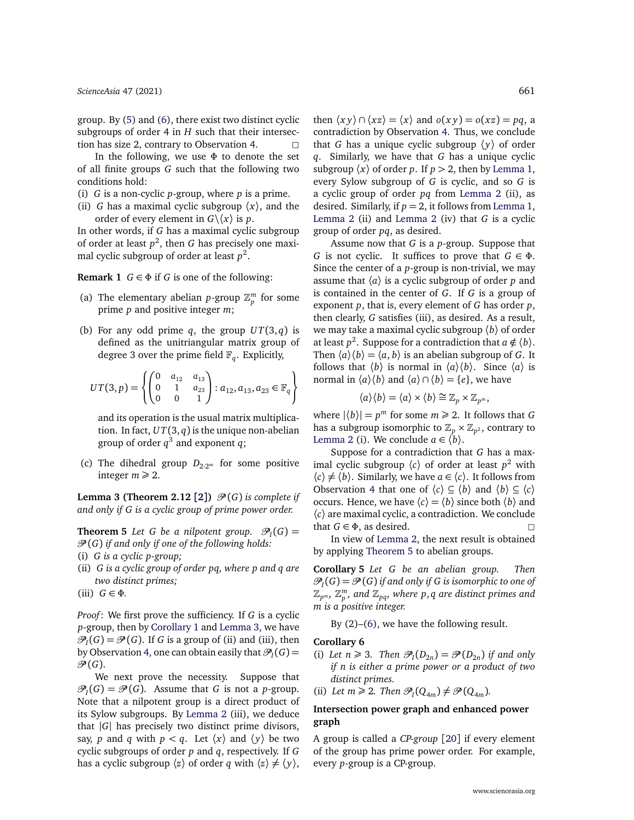group. By [\(5\)](#page-2-2) and [\(6\)](#page-2-3), there exist two distinct cyclic subgroups of order 4 in *H* such that their intersec-tion has size 2, contrary to Observation [4.](#page-3-1)  $\Box$ 

In the following, we use *Φ* to denote the set of all finite groups *G* such that the following two conditions hold:

- (i) *G* is a non-cyclic *p*-group, where *p* is a prime.
- (ii) *G* has a maximal cyclic subgroup  $\langle x \rangle$ , and the order of every element in  $G \backslash \langle x \rangle$  is *p*.

In other words, if *G* has a maximal cyclic subgroup of order at least *p* 2 , then *G* has precisely one maximal cyclic subgroup of order at least  $p^2$ .

**Remark 1**  $G \in \Phi$  if *G* is one of the following:

- (a) The elementary abelian *p*-group  $\mathbb{Z}_p^m$  for some prime *p* and positive integer *m*;
- (b) For any odd prime  $q$ , the group  $UT(3, q)$  is defined as the unitriangular matrix group of degree 3 over the prime field  $\mathbb{F}_q$ . Explicitly,

$$
UT(3, p) = \left\{ \begin{pmatrix} 0 & a_{12} & a_{13} \\ 0 & 1 & a_{23} \\ 0 & 0 & 1 \end{pmatrix} : a_{12}, a_{13}, a_{23} \in \mathbb{F}_q \right\}
$$

and its operation is the usual matrix multiplication. In fact,  $UT(3, q)$  is the unique non-abelian group of order  $q^3$  and exponent  $q$ ;

(c) The dihedral group  $D_{2 \cdot 2^m}$  for some positive integer  $m \geq 2$ .

<span id="page-4-0"></span>**Lemma 3 (Theorem [2](#page-7-1).12 [2])**  $\mathcal{P}(G)$  *is complete if and only if G is a cyclic group of prime power order.*

<span id="page-4-1"></span>**Theorem 5** Let G be a nilpotent group.  $\mathcal{P}_I(G) =$ P (*G*) *if and only if one of the following holds:* (i) *G is a cyclic p-group;*

(ii) *G is a cyclic group of order pq, where p and q are two distinct primes;*

(iii)  $G \in \Phi$ .

*Proof*: We first prove the sufficiency. If *G* is a cyclic *p*-group, then by [Corollary 1](#page-2-5) and [Lemma 3,](#page-4-0) we have  $\mathcal{P}_I(G) = \mathcal{P}(G)$ . If *G* is a group of (ii) and (iii), then by Observation [4,](#page-3-1) one can obtain easily that  $\mathcal{P}_I(G)$  =  $\mathcal{P}(G)$ .

We next prove the necessity. Suppose that  $\mathcal{P}_I(G) = \mathcal{P}(G)$ . Assume that *G* is not a *p*-group. Note that a nilpotent group is a direct product of its Sylow subgroups. By [Lemma 2](#page-3-3) (iii), we deduce that |*G*| has precisely two distinct prime divisors, say, *p* and *q* with  $p < q$ . Let  $\langle x \rangle$  and  $\langle y \rangle$  be two cyclic subgroups of order *p* and *q*, respectively. If *G* has a cyclic subgroup  $\langle z \rangle$  of order *q* with  $\langle z \rangle \neq \langle y \rangle$ ,

then  $\langle xy \rangle \cap \langle xz \rangle = \langle x \rangle$  and  $o(xy) = o(xz) = pq$ , a contradiction by Observation [4.](#page-3-1) Thus, we conclude that *G* has a unique cyclic subgroup  $\langle y \rangle$  of order *q*. Similarly, we have that *G* has a unique cyclic subgroup  $\langle x \rangle$  of order *p*. If  $p > 2$ , then by [Lemma 1,](#page-2-4) every Sylow subgroup of *G* is cyclic, and so *G* is a cyclic group of order *pq* from [Lemma 2](#page-3-3) (ii), as desired. Similarly, if  $p = 2$ , it follows from [Lemma 1,](#page-2-4) [Lemma 2](#page-3-3) (ii) and [Lemma 2](#page-3-3) (iv) that *G* is a cyclic group of order *pq*, as desired.

Assume now that *G* is a *p*-group. Suppose that *G* is not cyclic. It suffices to prove that *G* ∈ *Φ*. Since the center of a *p*-group is non-trivial, we may assume that  $\langle a \rangle$  is a cyclic subgroup of order *p* and is contained in the center of *G*. If *G* is a group of exponent *p*, that is, every element of *G* has order *p*, then clearly, *G* satisfies (iii), as desired. As a result, we may take a maximal cyclic subgroup 〈*b*〉 of order at least  $p^2$ . Suppose for a contradiction that  $a \notin \langle b \rangle$ . Then  $\langle a \rangle \langle b \rangle = \langle a, b \rangle$  is an abelian subgroup of *G*. It follows that  $\langle b \rangle$  is normal in  $\langle a \rangle \langle b \rangle$ . Since  $\langle a \rangle$  is normal in  $\langle a \rangle \langle b \rangle$  and  $\langle a \rangle \cap \langle b \rangle = \{e\}$ , we have

$$
\langle a \rangle \langle b \rangle = \langle a \rangle \times \langle b \rangle \cong \mathbb{Z}_p \times \mathbb{Z}_{p^m},
$$

where  $|\langle b \rangle| = p^m$  for some  $m \ge 2$ . It follows that *G* has a subgroup isomorphic to  $\mathbb{Z}_p\times \mathbb{Z}_{p^2}$ , contrary to [Lemma 2](#page-3-3) (i). We conclude  $a \in \langle b \rangle$ .

Suppose for a contradiction that *G* has a maximal cyclic subgroup  $\langle c \rangle$  of order at least  $p^2$  with  $\langle c \rangle \neq \langle b \rangle$ . Similarly, we have  $a \in \langle c \rangle$ . It follows from Observation [4](#page-3-1) that one of  $\langle c \rangle \subseteq \langle b \rangle$  and  $\langle b \rangle \subseteq \langle c \rangle$ occurs. Hence, we have  $\langle c \rangle = \langle b \rangle$  since both  $\langle b \rangle$  and 〈*c*〉 are maximal cyclic, a contradiction. We conclude that  $G \in \Phi$ , as desired.

In view of [Lemma 2,](#page-3-3) the next result is obtained by applying [Theorem 5](#page-4-1) to abelian groups.

**Corollary 5** *Let G be an abelian group. Then*  $\mathscr{P}_I(G) = \mathscr{P}(G)$  if and only if G is isomorphic to one of  $\mathbb{Z}_{p^m}$ ,  $\mathbb{Z}_p^m$ , and  $\mathbb{Z}_{pq}$ , where  $p,q$  are distinct primes and *m is a positive integer.*

By [\(2\)](#page-1-2)–[\(6\)](#page-2-3), we have the following result.

## **Corollary 6**

(i) Let  $n \ge 3$ . Then  $\mathcal{P}_I(D_{2n}) = \mathcal{P}(D_{2n})$  if and only *if n is either a prime power or a product of two distinct primes.*

(ii) Let  $m \ge 2$ . Then  $\mathcal{P}_I(Q_{4m}) \neq \mathcal{P}(Q_{4m})$ .

# **Intersection power graph and enhanced power graph**

<span id="page-4-2"></span>A group is called a *CP-group* [[20](#page-7-17)] if every element of the group has prime power order. For example, every *p*-group is a CP-group.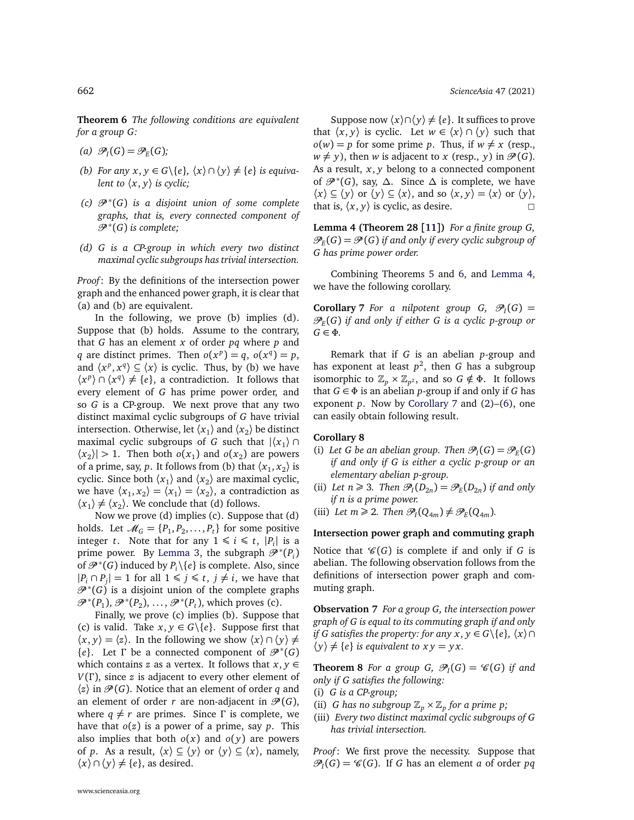**Theorem 6** *The following conditions are equivalent for a group G:*

- (a)  $\mathcal{P}_I(G) = \mathcal{P}_E(G)$ ;
- *(b) For any*  $x, y \in G \setminus \{e\}$ *,*  $\langle x \rangle \cap \langle y \rangle \neq \{e\}$  *is equivalent to*  $\langle x, y \rangle$  *is cyclic;*
- *(c)* P <sup>∗</sup> (*G*) *is a disjoint union of some complete graphs, that is, every connected component of* P <sup>∗</sup> (*G*) *is complete;*
- *(d) G is a CP-group in which every two distinct maximal cyclic subgroups has trivial intersection.*

*Proof*: By the definitions of the intersection power graph and the enhanced power graph, it is clear that (a) and (b) are equivalent.

In the following, we prove (b) implies (d). Suppose that (b) holds. Assume to the contrary, that *G* has an element *x* of order *pq* where *p* and *q* are distinct primes. Then  $o(x^p) = q$ ,  $o(x^q) = p$ , and  $\langle x^p, x^q \rangle \subseteq \langle x \rangle$  is cyclic. Thus, by (b) we have  $\langle x^p \rangle \cap \langle x^q \rangle \neq \{e\},\$ a contradiction. It follows that every element of *G* has prime power order, and so *G* is a CP-group. We next prove that any two distinct maximal cyclic subgroups of *G* have trivial intersection. Otherwise, let  $\langle x_1 \rangle$  and  $\langle x_2 \rangle$  be distinct maximal cyclic subgroups of *G* such that  $|\langle x_1 \rangle \cap$  $\langle x_2 \rangle$  > 1. Then both  $o(x_1)$  and  $o(x_2)$  are powers of a prime, say, *p*. It follows from (b) that  $\langle x_1, x_2 \rangle$  is cyclic. Since both  $\langle x_1 \rangle$  and  $\langle x_2 \rangle$  are maximal cyclic, we have  $\langle x_1, x_2 \rangle = \langle x_1 \rangle = \langle x_2 \rangle$ , a contradiction as  $\langle x_1 \rangle \neq \langle x_2 \rangle$ . We conclude that (d) follows.

Now we prove (d) implies (c). Suppose that (d) holds. Let  $\mathcal{M}_G = \{P_1, P_2, \ldots, P_t\}$  for some positive integer *t*. Note that for any  $1 \le i \le t$ ,  $|P_i|$  is a prime power. By [Lemma 3,](#page-4-0) the subgraph  $\mathscr{P}^*(P_i)$ of  $\mathscr{P}^*(G)$  induced by  $P_i \setminus \{e\}$  is complete. Also, since  $|P_i \cap P_j|$  = 1 for all 1 ≤ *j* ≤ *t*, *j* ≠ *i*, we have that  $\mathscr{P}^{*}(G)$  is a disjoint union of the complete graphs  $\mathscr{P}^*(P_1), \mathscr{P}^*(P_2), \ldots, \mathscr{P}^*(P_t)$ , which proves (c).

Finally, we prove (c) implies (b). Suppose that (c) is valid. Take  $x, y \in G \setminus \{e\}$ . Suppose first that  $\langle x, y \rangle = \langle z \rangle$ . In the following we show  $\langle x \rangle \cap \langle y \rangle \neq$  ${e}$ . Let *Γ* be a connected component of  $\mathscr{P}^*(G)$ which contains *z* as a vertex. It follows that  $x, y \in$ *V*(*Γ* ), since *z* is adjacent to every other element of  $\langle z \rangle$  in  $\mathcal{P}(G)$ . Notice that an element of order *q* and an element of order *r* are non-adjacent in  $\mathcal{P}(G)$ , where  $q \neq r$  are primes. Since  $\Gamma$  is complete, we have that *o*(*z*) is a power of a prime, say *p*. This also implies that both  $o(x)$  and  $o(y)$  are powers of *p*. As a result,  $\langle x \rangle \subseteq \langle y \rangle$  or  $\langle y \rangle \subseteq \langle x \rangle$ , namely,  $\langle x \rangle \cap \langle y \rangle \neq \{e\}$ , as desired.

Suppose now  $\langle x \rangle \cap \langle y \rangle \neq \{e\}$ . It suffices to prove that  $\langle x, y \rangle$  is cyclic. Let  $w \in \langle x \rangle \cap \langle y \rangle$  such that  $o(w) = p$  for some prime *p*. Thus, if  $w \neq x$  (resp.,  $w \neq y$ , then *w* is adjacent to *x* (resp., *y*) in  $\mathcal{P}(G)$ . As a result, *x*, *y* belong to a connected component of P <sup>∗</sup> (*G*), say, *∆*. Since *∆* is complete, we have  $\langle x \rangle \subseteq \langle y \rangle$  or  $\langle y \rangle \subseteq \langle x \rangle$ , and so  $\langle x, y \rangle = \langle x \rangle$  or  $\langle y \rangle$ , that is,  $\langle x, y \rangle$  is cyclic, as desire.

<span id="page-5-0"></span>**Lemma 4 (Theorem 28 [[11](#page-7-8)])** *For a finite group G,*  $\mathscr{P}_E(G) = \mathscr{P}(G)$  if and only if every cyclic subgroup of *G has prime power order.*

Combining Theorems [5](#page-4-1) and [6,](#page-4-2) and [Lemma 4,](#page-5-0) we have the following corollary.

<span id="page-5-1"></span>**Corollary** 7 *For a nilpotent group*  $G$ *,*  $\mathcal{P}_I(G)$  *=* P*E* (*G*) *if and only if either G is a cyclic p-group or G* ∈ *Φ.*

Remark that if *G* is an abelian *p*-group and has exponent at least  $p^2$ , then  $G$  has a subgroup isomorphic to  $\mathbb{Z}_p \times \mathbb{Z}_{p^2}$ , and so  $G \notin \Phi$ . It follows that  $G \in \Phi$  is an abelian *p*-group if and only if *G* has exponent *p*. Now by [Corollary 7](#page-5-1) and [\(2\)](#page-1-2)–[\(6\)](#page-2-3), one can easily obtain following result.

## **Corollary 8**

- (i) Let G be an abelian group. Then  $\mathcal{P}_I(G) = \mathcal{P}_E(G)$ *if and only if G is either a cyclic p-group or an elementary abelian p-group.*
- (ii) Let  $n \ge 3$ . Then  $\mathcal{P}_I(D_{2n}) = \mathcal{P}_E(D_{2n})$  if and only *if n is a prime power.*
- (iii) Let  $m \ge 2$ . Then  $\mathcal{P}_I(Q_{4m}) \neq \mathcal{P}_E(Q_{4m})$ .

#### **Intersection power graph and commuting graph**

Notice that  $\mathcal{C}(G)$  is complete if and only if *G* is abelian. The following observation follows from the definitions of intersection power graph and commuting graph.

<span id="page-5-2"></span>**Observation 7** *For a group G, the intersection power graph of G is equal to its commuting graph if and only if G satisfies the property: for any*  $x, y \in G \setminus \{e\}, \langle x \rangle \cap$  $\langle y \rangle \neq \{e\}$  *is equivalent to*  $xy = yx$ *.* 

<span id="page-5-3"></span>**Theorem 8** *For a group G,*  $\mathcal{P}_I(G) = \mathcal{C}(G)$  *if and only if G satisfies the following:*

- (i) *G is a CP-group;*
- (ii) *G* has no subgroup  $\mathbb{Z}_p \times \mathbb{Z}_p$  for a prime p;
- (iii) *Every two distinct maximal cyclic subgroups of G has trivial intersection.*

*Proof*: We first prove the necessity. Suppose that  $\mathcal{P}_I(G) = \mathcal{C}(G)$ . If *G* has an element *a* of order *pq*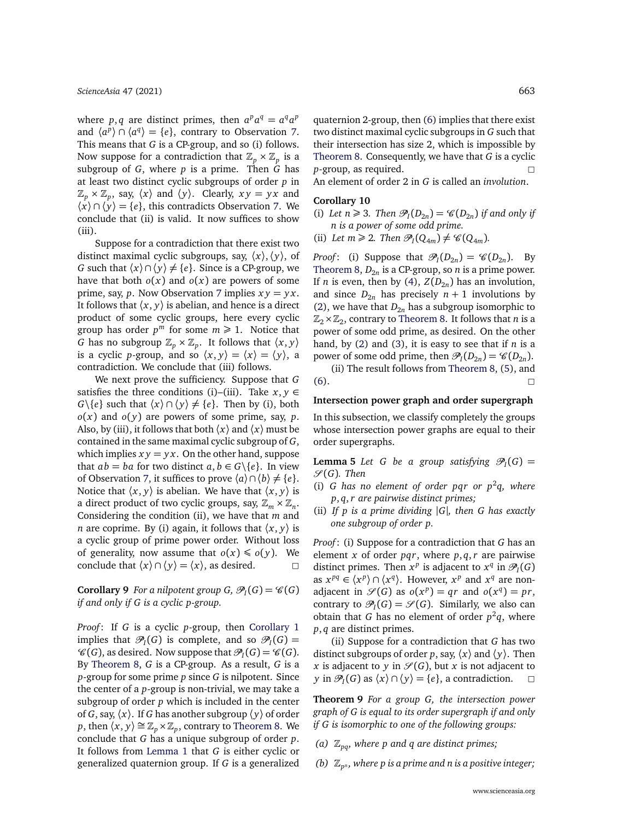where *p*, *q* are distinct primes, then  $a^p a^q = a^q a^p$ and  $\langle a^p \rangle \cap \langle a^q \rangle = \{e\}$ , contrary to Observation [7.](#page-5-2) This means that *G* is a CP-group, and so (i) follows. Now suppose for a contradiction that  $\mathbb{Z}_p \times \mathbb{Z}_p$  is a subgroup of *G*, where *p* is a prime. Then *G* has at least two distinct cyclic subgroups of order *p* in  $\mathbb{Z}_p \times \mathbb{Z}_p$ , say,  $\langle x \rangle$  and  $\langle y \rangle$ . Clearly,  $xy = yx$  and  $\langle x \rangle \cap \langle y \rangle = \{e\}$ , this contradicts Observation [7.](#page-5-2) We conclude that (ii) is valid. It now suffices to show (iii).

Suppose for a contradiction that there exist two distinct maximal cyclic subgroups, say,  $\langle x \rangle$ ,  $\langle y \rangle$ , of *G* such that  $\langle x \rangle \cap \langle y \rangle \neq \{e\}$ . Since is a CP-group, we have that both  $o(x)$  and  $o(x)$  are powers of some prime, say, *p*. Now Observation [7](#page-5-2) implies *x y* = *y x*. It follows that  $\langle x, y \rangle$  is abelian, and hence is a direct product of some cyclic groups, here every cyclic group has order  $p^m$  for some  $m \geq 1$ . Notice that *G* has no subgroup  $\mathbb{Z}_p \times \mathbb{Z}_p$ . It follows that  $\langle x, y \rangle$ is a cyclic *p*-group, and so  $\langle x, y \rangle = \langle x \rangle = \langle y \rangle$ , a contradiction. We conclude that (iii) follows.

We next prove the sufficiency. Suppose that *G* satisfies the three conditions (i)–(iii). Take  $x, y \in$ *G*\{*e*} such that  $\langle x \rangle$  ∩  $\langle y \rangle$  ≠ {*e*}. Then by (i), both  $o(x)$  and  $o(y)$  are powers of some prime, say, *p*. Also, by (iii), it follows that both  $\langle x \rangle$  and  $\langle x \rangle$  must be contained in the same maximal cyclic subgroup of *G*, which implies  $xy = yx$ . On the other hand, suppose that  $ab = ba$  for two distinct  $a, b \in G \backslash \{e\}$ . In view of Observation [7,](#page-5-2) it suffices to prove  $\langle a \rangle \cap \langle b \rangle \neq \{e\}.$ Notice that  $\langle x, y \rangle$  is abelian. We have that  $\langle x, y \rangle$  is a direct product of two cyclic groups, say,  $\mathbb{Z}_m \times \mathbb{Z}_n$ . Considering the condition (ii), we have that *m* and *n* are coprime. By (i) again, it follows that  $\langle x, y \rangle$  is a cyclic group of prime power order. Without loss of generality, now assume that  $o(x) \leqslant o(y)$ . We conclude that  $\langle x \rangle \cap \langle y \rangle = \langle x \rangle$ , as desired.

**Corollary 9** For a nilpotent group  $G$ ,  $\mathcal{P}_I(G) = \mathcal{C}(G)$ *if and only if G is a cyclic p-group.*

*Proof*: If *G* is a cyclic *p*-group, then [Corollary 1](#page-2-5) implies that  $\mathcal{P}_I(G)$  is complete, and so  $\mathcal{P}_I(G)$  =  $\mathscr{C}(G)$ , as desired. Now suppose that  $\mathscr{P}_I(G) = \mathscr{C}(G)$ . By [Theorem 8,](#page-5-3) *G* is a CP-group. As a result, *G* is a *p*-group for some prime *p* since *G* is nilpotent. Since the center of a *p*-group is non-trivial, we may take a subgroup of order *p* which is included in the center of *G*, say,  $\langle x \rangle$ . If *G* has another subgroup  $\langle y \rangle$  of order *p*, then  $\langle x, y \rangle \cong \mathbb{Z}_p \times \mathbb{Z}_p$ , contrary to [Theorem 8.](#page-5-3) We conclude that *G* has a unique subgroup of order *p*. It follows from [Lemma 1](#page-2-4) that *G* is either cyclic or generalized quaternion group. If *G* is a generalized quaternion 2-group, then [\(6\)](#page-2-3) implies that there exist two distinct maximal cyclic subgroups in *G* such that their intersection has size 2, which is impossible by [Theorem 8.](#page-5-3) Consequently, we have that *G* is a cyclic *<sup>p</sup>*-group, as required. <sup>2</sup> An element of order 2 in *G* is called an *involution*.

#### **Corollary 10**

- (i) Let  $n \ge 3$ . Then  $\mathcal{P}_I(D_{2n}) = \mathcal{C}(D_{2n})$  if and only if *n is a power of some odd prime.*
- (ii) Let  $m \ge 2$ . Then  $\mathcal{P}_I(Q_{4m}) \neq \mathcal{C}(Q_{4m})$ .

*Proof*: (i) Suppose that  $\mathcal{P}_I(D_{2n}) = \mathcal{C}(D_{2n})$ . By [Theorem 8,](#page-5-3) *D*<sup>2</sup>*<sup>n</sup>* is a CP-group, so *n* is a prime power. If *n* is even, then by [\(4\)](#page-2-6),  $Z(D_{2n})$  has an involution, and since  $D_{2n}$  has precisely  $n + 1$  involutions by [\(2\)](#page-1-2), we have that  $D_{2n}$  has a subgroup isomorphic to  $\mathbb{Z}_2 \times \mathbb{Z}_2$ , contrary to [Theorem 8.](#page-5-3) It follows that *n* is a power of some odd prime, as desired. On the other hand, by [\(2\)](#page-1-2) and [\(3\)](#page-2-1), it is easy to see that if *n* is a power of some odd prime, then  $\mathcal{P}_I(D_{2n}) = \mathcal{C}(D_{2n}).$ 

(ii) The result follows from [Theorem 8,](#page-5-3) [\(5\)](#page-2-2), and  $\Box$  200

#### **Intersection power graph and order supergraph**

<span id="page-6-0"></span>In this subsection, we classify completely the groups whose intersection power graphs are equal to their order supergraphs.

**Lemma 5** *Let G be a group satisfying*  $\mathcal{P}_I(G)$  =  $\mathscr{S}(G)$ *. Then* 

- (i) G has no element of order pqr or  $p^2q$ , where *p*, *q*,*r are pairwise distinct primes;*
- (ii) *If p is a prime dividing* |*G*|*, then G has exactly one subgroup of order p.*

*Proof*: (i) Suppose for a contradiction that *G* has an element *x* of order *pqr*, where *p*, *q*, *r* are pairwise distinct primes. Then  $x^p$  is adjacent to  $x^q$  in  $\mathscr{P}_I(G)$ as  $x^{pq} \in \langle x^p \rangle \cap \langle x^q \rangle$ . However,  $x^p$  and  $x^q$  are nonadjacent in  $\mathcal{S}(G)$  as  $o(x^p) = qr$  and  $o(x^q) = pr$ , contrary to  $\mathcal{P}_I(G) = \mathcal{S}(G)$ . Similarly, we also can obtain that  $G$  has no element of order  $p^2q$ , where *p*, *q* are distinct primes.

(ii) Suppose for a contradiction that *G* has two distinct subgroups of order *p*, say,  $\langle x \rangle$  and  $\langle y \rangle$ . Then *x* is adjacent to *y* in  $\mathcal{S}(G)$ , but *x* is not adjacent to *y* in  $\mathcal{P}_I(G)$  as  $\langle x \rangle \cap \langle y \rangle = \{e\}$ , a contradiction.  $\Box$ 

**Theorem 9** *For a group G, the intersection power graph of G is equal to its order supergraph if and only if G is isomorphic to one of the following groups:*

- *(a)*  $\mathbb{Z}_{pa}$ *, where p and q are distinct primes;*
- (b)  $\mathbb{Z}_{p^n}$ , where p is a prime and n is a positive integer;